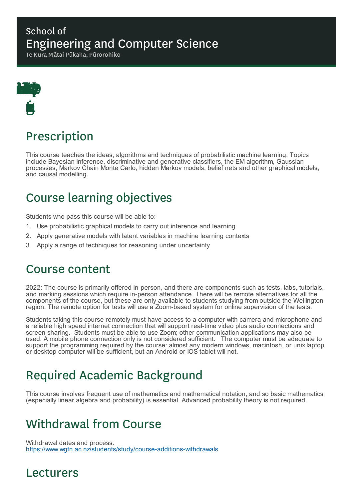### School of Engineering and Computer Science

Te Kura Mātai Pūkaha, Pūrorohiko



# Prescription

This course teaches the ideas, algorithms and techniques of probabilistic machine learning. Topics include Bayesian inference, discriminative and generative classifiers, the EM algorithm, Gaussian processes, Markov Chain Monte Carlo, hidden Markov models, belief nets and other graphical models, and causal modelling.

# Course learning objectives

Students who pass this course will be able to:

- 1. Use probabilistic graphical models to carry out inference and learning
- 2. Apply generative models with latent variables in machine learning contexts
- 3. Apply a range of techniques for reasoning under uncertainty

## Course content

2022: The course is primarily offered in-person, and there are components such as tests, labs, tutorials, and marking sessions which require in-person attendance. There will be remote alternatives for all the components of the course, but these are only available to students studying from outside the Wellington region. The remote option for tests will use a Zoom-based system for online supervision of the tests.

Students taking this course remotely must have access to a computer with camera and microphone and a reliable high speed internet connection that will support real-time video plus audio connections and screen sharing. Students must be able to use Zoom; other communication applications may also be used. A mobile phone connection only is not considered sufficient. The computer must be adequate to support the programming required by the course: almost any modern windows, macintosh, or unix laptop or desktop computer will be sufficient, but an Android or IOS tablet will not.

# Required Academic Background

This course involves frequent use of mathematics and mathematical notation, and so basic mathematics (especially linear algebra and probability) is essential. Advanced probability theory is not required.

# Withdrawal from Course

Withdrawal dates and process: https://www.wgtn.ac.nz/students/study/course-additions-withdrawals

### Lecturers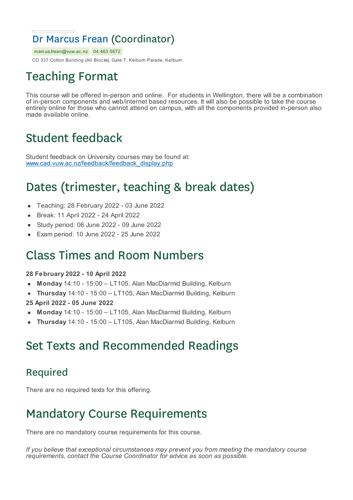## Dr Marcus Frean (Coordinator)

marcus.frean@vuw.ac.nz 04 463 5672 CO 337 Cotton Building (All Blocks), Gate 7, Kelburn Parade, Kelburn

# Teaching Format

This course will be offered in-person and online. For students in Wellington, there will be a combination of in-person components and web/internet based resources. It will also be possible to take the course entirely online for those who cannot attend on campus, with all the components provided in-person also made available online.

# Student feedback

Student feedback on University courses may be found at: www.cad.vuw.ac.nz/feedback/feedback\_display.php

# Dates (trimester, teaching & break dates)

- Teaching: 28 February 2022 03 June 2022  $\blacksquare$
- Break: 11 April 2022 24 April 2022
- Study period: 06 June 2022 09 June 2022
- Exam period: 10 June 2022 25 June 2022

## Class Times and Room Numbers

#### **28 February 2022 - 10 April 2022**

- **Monday** 14:10 15:00 LT105, Alan MacDiarmid Building, Kelburn
- **Thursday** 14:10 15:00 LT105, Alan MacDiarmid Building, Kelburn
- **25 April 2022 - 05 June 2022**
- **Monday** 14:10 15:00 LT105, Alan MacDiarmid Building, Kelburn
- **Thursday** 14:10 15:00 LT105, Alan MacDiarmid Building, Kelburn

# Set Texts and Recommended Readings

#### Required

There are no required texts for this offering.

# Mandatory Course Requirements

There are no mandatory course requirements for this course.

*If you believe that exceptional circumstances may prevent you from meeting the mandatory course requirements, contact the Course Coordinator for advice as soon as possible.*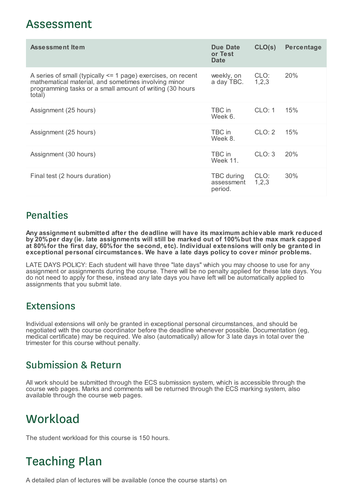### Assessment

| <b>Assessment Item</b>                                                                                                                                                                         | Due Date<br>or Test<br><b>Date</b>  | CLO(s)          | <b>Percentage</b> |
|------------------------------------------------------------------------------------------------------------------------------------------------------------------------------------------------|-------------------------------------|-----------------|-------------------|
| A series of small (typically $\leq$ 1 page) exercises, on recent<br>mathematical material, and sometimes involving minor<br>programming tasks or a small amount of writing (30 hours<br>total) | weekly, on<br>a day TBC.            | CLO:<br>1, 2, 3 | 20%               |
| Assignment (25 hours)                                                                                                                                                                          | TBC in<br>Week 6.                   | CLO: 1          | 15%               |
| Assignment (25 hours)                                                                                                                                                                          | TBC in<br>Week 8.                   | CLO: 2          | 15%               |
| Assignment (30 hours)                                                                                                                                                                          | TBC in<br>Week 11.                  | CLO: 3          | 20%               |
| Final test (2 hours duration)                                                                                                                                                                  | TBC during<br>assessment<br>period. | CLO:<br>1,2,3   | 30%               |

### Penalties

**Any assignment submitted after the deadline will have its maximum achievable mark reduced by 20%per day (ie. late assignments will still be marked out of 100%but the max mark capped at 80%for the first day, 60%for the second, etc). Individual extensions will only be granted in exceptional personal circumstances. We have a late days policy to cover minor problems.**

LATE DAYS POLICY: Each student will have three "late days" which you may choose to use for any assignment or assignments during the course. There will be no penalty applied for these late days. You do not need to apply for these, instead any late days you have left will be automatically applied to assignments that you submit late.

#### **Extensions**

Individual extensions will only be granted in exceptional personal circumstances, and should be negotiated with the course coordinator before the deadline whenever possible. Documentation (eg, medical certificate) may be required. We also (automatically) allow for 3 late days in total over the trimester for this course without penalty.

### Submission & Return

All work should be submitted through the ECS submission system, which is accessible through the course web pages. Marks and comments will be returned through the ECS marking system, also available through the course web pages.

# **Workload**

The student workload for this course is 150 hours.

# Teaching Plan

A detailed plan of lectures will be available (once the course starts) on